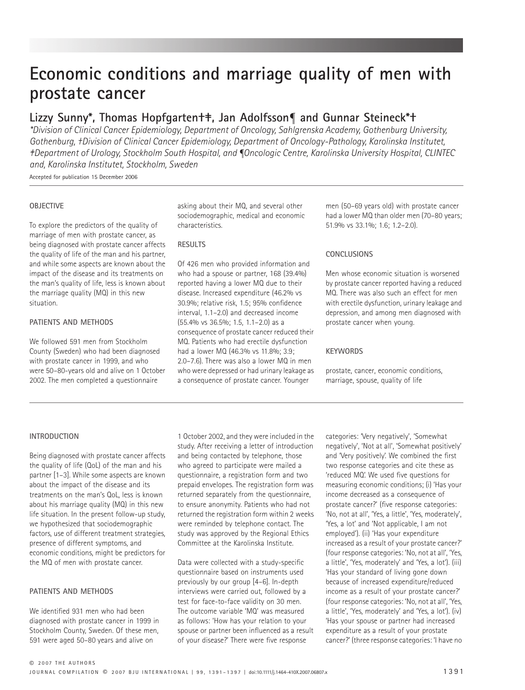# **Economic conditions and marriage quality of men with prostate cancer**

# **Lizzy Sunny\*, Thomas Hopfgarten†‡, Jan Adolfsson¶ and Gunnar Steineck\*†**

*\*Division of Clinical Cancer Epidemiology, Department of Oncology, Sahlgrenska Academy, Gothenburg University, Gothenburg, †Division of Clinical Cancer Epidemiology, Department of Oncology-Pathology, Karolinska Institutet, ‡Department of Urology, Stockholm South Hospital, and ¶Oncologic Centre, Karolinska University Hospital, CLINTEC and, Karolinska Institutet, Stockholm, Sweden*

Accepted for publication 15 December 2006

# **OBJECTIVE**

To explore the predictors of the quality of marriage of men with prostate cancer, as being diagnosed with prostate cancer affects the quality of life of the man and his partner, and while some aspects are known about the impact of the disease and its treatments on the man's quality of life, less is known about the marriage quality (MQ) in this new situation.

#### **PATIENTS AND METHODS**

We followed 591 men from Stockholm County (Sweden) who had been diagnosed with prostate cancer in 1999, and who were 50–80-years old and alive on 1 October 2002. The men completed a questionnaire

asking about their MQ, and several other sociodemographic, medical and economic characteristics.

# **RESULTS**

Of 426 men who provided information and who had a spouse or partner, 168 (39.4%) reported having a lower MQ due to their disease. Increased expenditure (46.2% vs 30.9%; relative risk, 1.5; 95% confidence interval, 1.1–2.0) and decreased income (55.4% vs 36.5%; 1.5, 1.1–2.0) as a consequence of prostate cancer reduced their MQ. Patients who had erectile dysfunction had a lower MQ (46.3% vs 11.8%; 3.9; 2.0–7.6). There was also a lower MQ in men who were depressed or had urinary leakage as a consequence of prostate cancer. Younger

men (50–69 years old) with prostate cancer had a lower MQ than older men (70–80 years; 51.9% vs 33.1%; 1.6; 1.2–2.0).

# **CONCLUSIONS**

Men whose economic situation is worsened by prostate cancer reported having a reduced MQ. There was also such an effect for men with erectile dysfunction, urinary leakage and depression, and among men diagnosed with prostate cancer when young.

# **KEYWORDS**

prostate, cancer, economic conditions, marriage, spouse, quality of life

# **INTRODUCTION**

Being diagnosed with prostate cancer affects the quality of life (QoL) of the man and his partner [1–3]. While some aspects are known about the impact of the disease and its treatments on the man's QoL, less is known about his marriage quality (MQ) in this new life situation. In the present follow-up study, we hypothesized that sociodemographic factors, use of different treatment strategies, presence of different symptoms, and economic conditions, might be predictors for the MQ of men with prostate cancer.

# **PATIENTS AND METHODS**

We identified 931 men who had been diagnosed with prostate cancer in 1999 in Stockholm County, Sweden. Of these men, 591 were aged 50–80 years and alive on

1 October 2002, and they were included in the study. After receiving a letter of introduction and being contacted by telephone, those who agreed to participate were mailed a questionnaire, a registration form and two prepaid envelopes. The registration form was returned separately from the questionnaire, to ensure anonymity. Patients who had not returned the registration form within 2 weeks were reminded by telephone contact. The study was approved by the Regional Ethics Committee at the Karolinska Institute.

Data were collected with a study-specific questionnaire based on instruments used previously by our group [4–6]. In-depth interviews were carried out, followed by a test for face-to-face validity on 30 men. The outcome variable 'MQ' was measured as follows: 'How has your relation to your spouse or partner been influenced as a result of your disease?' There were five response

categories: 'Very negatively', 'Somewhat negatively', 'Not at all', 'Somewhat positively' and 'Very positively'. We combined the first two response categories and cite these as 'reduced MQ'. We used five questions for measuring economic conditions; (i) 'Has your income decreased as a consequence of prostate cancer?' (five response categories: 'No, not at all', 'Yes, a little', 'Yes, moderately', 'Yes, a lot' and 'Not applicable, I am not employed'). (ii) 'Has your expenditure increased as a result of your prostate cancer?' (four response categories: 'No, not at all', 'Yes, a little', 'Yes, moderately' and 'Yes, a lot'). (iii) 'Has your standard of living gone down because of increased expenditure/reduced income as a result of your prostate cancer?' (four response categories: 'No, not at all', 'Yes, a little', 'Yes, moderately' and 'Yes, a lot'). (iv) 'Has your spouse or partner had increased expenditure as a result of your prostate cancer?' (three response categories: 'I have no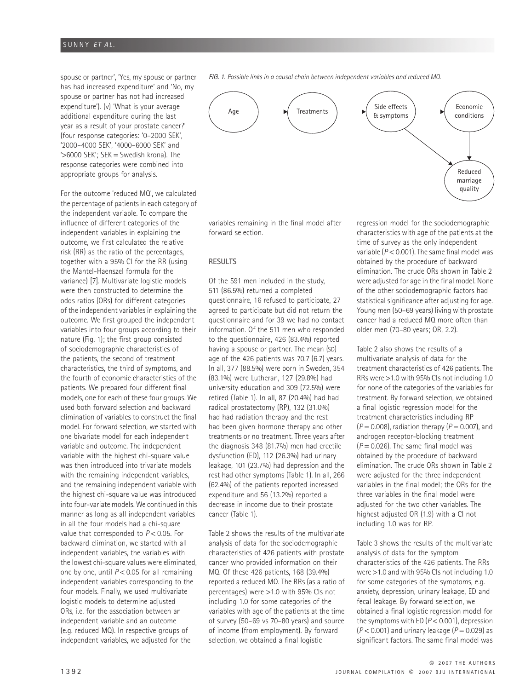#### SUNNY *ET AL.*

spouse or partner', 'Yes, my spouse or partner has had increased expenditure' and 'No, my spouse or partner has not had increased expenditure'). (v) 'What is your average additional expenditure during the last year as a result of your prostate cancer?' (four response categories: '0–2000 SEK', '2000–4000 SEK', '4000–6000 SEK' and '>6000 SEK'; SEK = Swedish krona). The response categories were combined into appropriate groups for analysis.

For the outcome 'reduced MQ', we calculated the percentage of patients in each category of the independent variable. To compare the influence of different categories of the independent variables in explaining the outcome, we first calculated the relative risk (RR) as the ratio of the percentages, together with a 95% CI for the RR (using the Mantel-Haenszel formula for the variance) [7]. Multivariate logistic models were then constructed to determine the odds ratios (ORs) for different categories of the independent variables in explaining the outcome. We first grouped the independent variables into four groups according to their nature (Fig. 1); the first group consisted of sociodemographic characteristics of the patients, the second of treatment characteristics, the third of symptoms, and the fourth of economic characteristics of the patients. We prepared four different final models, one for each of these four groups. We used both forward selection and backward elimination of variables to construct the final model. For forward selection, we started with one bivariate model for each independent variable and outcome. The independent variable with the highest chi-square value was then introduced into trivariate models with the remaining independent variables, and the remaining independent variable with the highest chi-square value was introduced into four-variate models. We continued in this manner as long as all independent variables in all the four models had a chi-square value that corresponded to *P* < 0.05. For backward elimination, we started with all independent variables, the variables with the lowest chi-square values were eliminated, one by one, until *P* < 0.05 for all remaining independent variables corresponding to the four models. Finally, we used multivariate logistic models to determine adjusted ORs, i.e. for the association between an independent variable and an outcome (e.g. reduced MQ). In respective groups of independent variables, we adjusted for the

*FIG. 1. Possible links in a causal chain between independent variables and reduced MQ.*



variables remaining in the final model after forward selection.

#### **RESULTS**

Of the 591 men included in the study, 511 (86.5%) returned a completed questionnaire, 16 refused to participate, 27 agreed to participate but did not return the questionnaire and for 39 we had no contact information. Of the 511 men who responded to the questionnaire, 426 (83.4%) reported having a spouse or partner. The mean (SD) age of the 426 patients was 70.7 (6.7) years. In all, 377 (88.5%) were born in Sweden, 354 (83.1%) were Lutheran, 127 (29.8%) had university education and 309 (72.5%) were retired (Table 1). In all, 87 (20.4%) had had radical prostatectomy (RP), 132 (31.0%) had had radiation therapy and the rest had been given hormone therapy and other treatments or no treatment. Three years after the diagnosis 348 (81.7%) men had erectile dysfunction (ED), 112 (26.3%) had urinary leakage, 101 (23.7%) had depression and the rest had other symptoms (Table 1). In all, 266 (62.4%) of the patients reported increased expenditure and 56 (13.2%) reported a decrease in income due to their prostate cancer (Table 1).

Table 2 shows the results of the multivariate analysis of data for the sociodemographic characteristics of 426 patients with prostate cancer who provided information on their MQ. Of these 426 patients, 168 (39.4%) reported a reduced MQ. The RRs (as a ratio of percentages) were >1.0 with 95% CIs not including 1.0 for some categories of the variables with age of the patients at the time of survey (50–69 vs 70–80 years) and source of income (from employment). By forward selection, we obtained a final logistic

regression model for the sociodemographic characteristics with age of the patients at the time of survey as the only independent variable (*P* < 0.001). The same final model was obtained by the procedure of backward elimination. The crude ORs shown in Table 2 were adjusted for age in the final model. None of the other sociodemographic factors had statistical significance after adjusting for age. Young men (50–69 years) living with prostate cancer had a reduced MQ more often than older men (70–80 years; OR, 2.2).

Table 2 also shows the results of a multivariate analysis of data for the treatment characteristics of 426 patients. The RRs were >1.0 with 95% CIs not including 1.0 for none of the categories of the variables for treatment. By forward selection, we obtained a final logistic regression model for the treatment characteristics including RP (*P* = 0.008), radiation therapy (*P* = 0.007), and androgen receptor-blocking treatment  $(P = 0.026)$ . The same final model was obtained by the procedure of backward elimination. The crude ORs shown in Table 2 were adjusted for the three independent variables in the final model; the ORs for the three variables in the final model were adjusted for the two other variables. The highest adjusted OR (1.9) with a CI not including 1.0 was for RP.

Table 3 shows the results of the multivariate analysis of data for the symptom characteristics of the 426 patients. The RRs were >1.0 and with 95% CIs not including 1.0 for some categories of the symptoms, e.g. anxiety, depression, urinary leakage, ED and fecal leakage. By forward selection, we obtained a final logistic regression model for the symptoms with ED  $(P < 0.001)$ , depression  $(P < 0.001)$  and urinary leakage  $(P = 0.029)$  as significant factors. The same final model was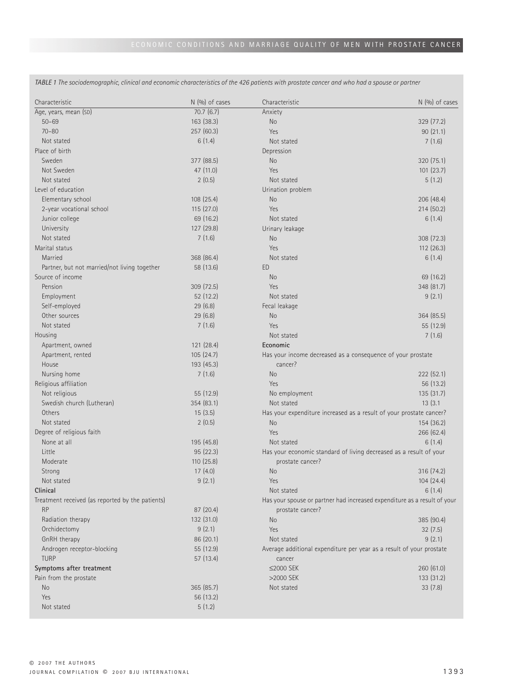| Characteristic                                   | N (%) of cases | Characteristic                                                           | N (%) of cases |
|--------------------------------------------------|----------------|--------------------------------------------------------------------------|----------------|
| Age, years, mean (SD)                            | 70.7(6.7)      | Anxiety                                                                  |                |
| $50 - 69$                                        | 163 (38.3)     | No                                                                       | 329 (77.2)     |
| $70 - 80$                                        | 257 (60.3)     | Yes                                                                      | 90(21.1)       |
| Not stated                                       | 6(1.4)         | Not stated                                                               | 7(1.6)         |
| Place of birth                                   |                | Depression                                                               |                |
| Sweden                                           | 377 (88.5)     | No                                                                       | 320 (75.1)     |
| Not Sweden                                       | 47 (11.0)      | Yes                                                                      | 101(23.7)      |
| Not stated                                       | 2(0.5)         | Not stated                                                               | 5(1.2)         |
| Level of education                               |                | Urination problem                                                        |                |
| Elementary school                                | 108(25.4)      | No                                                                       | 206(48.4)      |
| 2-year vocational school                         | 115(27.0)      | Yes                                                                      | 214(50.2)      |
| Junior college                                   | 69 (16.2)      | Not stated                                                               | 6(1.4)         |
| University                                       | 127(29.8)      | Urinary leakage                                                          |                |
| Not stated                                       | 7(1.6)         | No                                                                       | 308 (72.3)     |
| Marital status                                   |                | Yes                                                                      | 112(26.3)      |
| Married                                          | 368 (86.4)     | Not stated                                                               | 6(1.4)         |
| Partner, but not married/not living together     | 58 (13.6)      | ED                                                                       |                |
| Source of income                                 |                | No                                                                       | 69 (16.2)      |
| Pension                                          | 309(72.5)      | Yes                                                                      | 348 (81.7)     |
| Employment                                       | 52(12.2)       | Not stated                                                               | 9(2.1)         |
| Self-employed                                    | 29(6.8)        | Fecal leakage                                                            |                |
| Other sources                                    | 29(6.8)        | No                                                                       | 364 (85.5)     |
| Not stated                                       | 7(1.6)         | Yes                                                                      | 55 (12.9)      |
| Housing                                          |                | Not stated                                                               | 7(1.6)         |
| Apartment, owned                                 | 121(28.4)      | Economic                                                                 |                |
| Apartment, rented                                | 105(24.7)      | Has your income decreased as a consequence of your prostate              |                |
| House                                            | 193 (45.3)     | cancer?                                                                  |                |
| Nursing home                                     | 7(1.6)         | No                                                                       | 222(52.1)      |
| Religious affiliation                            |                | Yes                                                                      | 56 (13.2)      |
| Not religious                                    | 55 (12.9)      | No employment                                                            | 135(31.7)      |
| Swedish church (Lutheran)                        | 354 (83.1)     | Not stated                                                               | 13(3.1)        |
| Others                                           | 15(3.5)        | Has your expenditure increased as a result of your prostate cancer?      |                |
| Not stated                                       | 2(0.5)         | No                                                                       | 154 (36.2)     |
| Degree of religious faith                        |                | Yes                                                                      | 266(62.4)      |
| None at all                                      | 195(45.8)      | Not stated                                                               | 6(1.4)         |
| Little                                           | 95(22.3)       | Has your economic standard of living decreased as a result of your       |                |
| Moderate                                         | 110(25.8)      | prostate cancer?                                                         |                |
| Strong                                           | 17(4.0)        | <b>No</b>                                                                | 316 (74.2)     |
| Not stated                                       | 9(2.1)         | Yes                                                                      | 104(24.4)      |
| Clinical                                         |                | Not stated                                                               | 6(1.4)         |
| Treatment received (as reported by the patients) |                | Has your spouse or partner had increased expenditure as a result of your |                |
| <b>RP</b>                                        | 87(20.4)       | prostate cancer?                                                         |                |
| Radiation therapy                                | 132 (31.0)     | No                                                                       | 385(90.4)      |
| Orchidectomy                                     | 9(2.1)         | Yes                                                                      | 32(7.5)        |
| GnRH therapy                                     | 86 (20.1)      | Not stated                                                               | 9(2.1)         |
| Androgen receptor-blocking                       | 55 (12.9)      | Average additional expenditure per year as a result of your prostate     |                |
| <b>TURP</b>                                      | 57(13.4)       | cancer                                                                   |                |
| Symptoms after treatment                         |                | ≤2000 SEK                                                                | 260(61.0)      |
| Pain from the prostate                           |                | >2000 SEK                                                                | 133(31.2)      |
| No                                               | 365(85.7)      | Not stated                                                               | 33(7.8)        |
| Yes                                              | 56 (13.2)      |                                                                          |                |
| Not stated                                       | 5(1.2)         |                                                                          |                |

*TABLE 1 The sociodemographic, clinical and economic characteristics of the 426 patients with prostate cancer and who had a spouse or partner*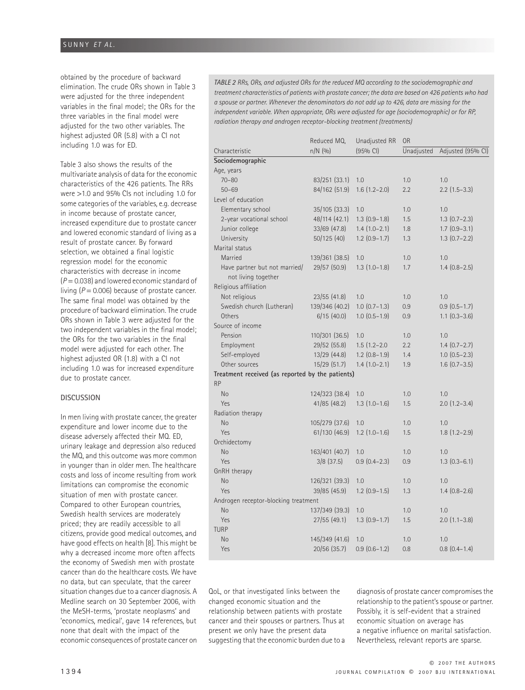obtained by the procedure of backward elimination. The crude ORs shown in Table 3 were adjusted for the three independent variables in the final model; the ORs for the three variables in the final model were adjusted for the two other variables. The highest adjusted OR (5.8) with a CI not including 1.0 was for ED.

Table 3 also shows the results of the multivariate analysis of data for the economic characteristics of the 426 patients. The RRs were >1.0 and 95% CIs not including 1.0 for some categories of the variables, e.g. decrease in income because of prostate cancer, increased expenditure due to prostate cancer and lowered economic standard of living as a result of prostate cancer. By forward selection, we obtained a final logistic regression model for the economic characteristics with decrease in income  $(P = 0.038)$  and lowered economic standard of living  $(P = 0.006)$  because of prostate cancer. The same final model was obtained by the procedure of backward elimination. The crude ORs shown in Table 3 were adjusted for the two independent variables in the final model; the ORs for the two variables in the final model were adjusted for each other. The highest adjusted OR (1.8) with a CI not including 1.0 was for increased expenditure due to prostate cancer.

#### **DISCUSSION**

In men living with prostate cancer, the greater expenditure and lower income due to the disease adversely affected their MQ. ED, urinary leakage and depression also reduced the MQ, and this outcome was more common in younger than in older men. The healthcare costs and loss of income resulting from work limitations can compromise the economic situation of men with prostate cancer. Compared to other European countries, Swedish health services are moderately priced; they are readily accessible to all citizens, provide good medical outcomes, and have good effects on health [8]. This might be why a decreased income more often affects the economy of Swedish men with prostate cancer than do the healthcare costs. We have no data, but can speculate, that the career situation changes due to a cancer diagnosis. A Medline search on 30 September 2006, with the MeSH-terms, 'prostate neoplasms' and 'economics, medical', gave 14 references, but none that dealt with the impact of the economic consequences of prostate cancer on

*TABLE 2 RRs, ORs, and adjusted ORs for the reduced MQ according to the sociodemographic and treatment characteristics of patients with prostate cancer; the data are based on 426 patients who had a spouse or partner. Whenever the denominators do not add up to 426, data are missing for the independent variable. When appropriate, ORs were adjusted for age (sociodemographic) or for RP, radiation therapy and androgen receptor-blocking treatment (treatments)* 

|                                                      | Reduced MQ,<br>$n/N$ (%) | Unadjusted RR<br>(95% CI) | <b>OR</b>  |                     |
|------------------------------------------------------|--------------------------|---------------------------|------------|---------------------|
| Characteristic                                       |                          |                           | Unadjusted | Adjusted (95% CI)   |
| Sociodemographic                                     |                          |                           |            |                     |
| Age, years                                           |                          |                           |            |                     |
| $70 - 80$                                            | 83/251 (33.1)            | 1.0                       | 1.0        | 1.0                 |
| $50 - 69$                                            | 84/162 (51.9)            | $1.6(1.2-2.0)$            | 2.2        | $2.2$ (1.5-3.3)     |
| Level of education                                   |                          |                           |            |                     |
| Elementary school                                    | 35/105 (33.3)            | 1.0                       | 1.0        | 1.0                 |
| 2-year vocational school                             | 48/114 (42.1)            | $1.3$ $(0.9-1.8)$         | 1.5        | $1.3$ $(0.7 - 2.3)$ |
| Junior college                                       | $33/69$ (47.8)           | $1.4(1.0-2.1)$            | 1.8        | $1.7(0.9-3.1)$      |
| University                                           | 50/125(40)               | $1.2$ (0.9 – 1.7)         | 1.3        | $1.3$ $(0.7-2.2)$   |
| Marital status                                       |                          |                           |            |                     |
| Married                                              | 139/361 (38.5)           | 1.0                       | 1.0        | 1.0                 |
| Have partner but not married/<br>not living together | 29/57 (50.9)             | $1.3(1.0-1.8)$            | 1.7        | $1.4(0.8-2.5)$      |
| Religious affiliation                                |                          |                           |            |                     |
| Not religious                                        | 23/55 (41.8)             | 1.0                       | 1.0        | 1.0                 |
| Swedish church (Lutheran)                            | 139/346 (40.2)           | $1.0$ $(0.7 - 1.3)$       | 0.9        | $0.9$ $(0.5-1.7)$   |
| Others                                               | 6/15(40.0)               | $1.0$ $(0.5-1.9)$         | 0.9        | $1.1$ $(0.3 - 3.6)$ |
| Source of income                                     |                          |                           |            |                     |
| Pension                                              | 110/301 (36.5)           | 1.0                       | 1.0        | 1.0                 |
| Employment                                           | 29/52 (55.8)             | $1.5(1.2-2.0)$            | 2.2        | $1.4(0.7-2.7)$      |
| Self-employed                                        | 13/29 (44.8)             | $1.2$ $(0.8-1.9)$         | 1.4        | $1.0$ $(0.5-2.3)$   |
| Other sources                                        | 15/29(51.7)              | $1.4(1.0-2.1)$            | 1.9        | $1.6$ $(0.7-3.5)$   |
| Treatment received (as reported by the patients)     |                          |                           |            |                     |
| <b>RP</b>                                            |                          |                           |            |                     |
| No                                                   | 124/323 (38.4)           | 1.0                       | 1.0        | 1.0                 |
| Yes                                                  | 41/85 (48.2)             | $1.3(1.0-1.6)$            | 1.5        | $2.0$ $(1.2 - 3.4)$ |
| Radiation therapy                                    |                          |                           |            |                     |
| No                                                   | 105/279 (37.6)           | 1.0                       | 1.0        | 1.0                 |
| Yes                                                  | 61/130 (46.9)            | $1.2$ $(1.0-1.6)$         | 1.5        | $1.8(1.2-2.9)$      |
| Orchidectomy                                         |                          |                           |            |                     |
| No                                                   | 163/401 (40.7)           | 1.0                       | 1.0        | 1.0                 |
| Yes                                                  | $3/8$ $(37.5)$           | $0.9$ $(0.4-2.3)$         | 0.9        | $1.3$ $(0.3-6.1)$   |
| GnRH therapy                                         |                          |                           |            |                     |
| No                                                   | 126/321 (39.3)           | 1.0                       | 1.0        | 1.0                 |
| Yes                                                  | 39/85 (45.9)             | $1.2$ $(0.9-1.5)$         | 1.3        | $1.4(0.8-2.6)$      |
| Androgen receptor-blocking treatment                 |                          |                           |            |                     |
| No                                                   | 137/349 (39.3)           | 1.0                       | 1.0        | 1.0                 |
| Yes                                                  | 27/55 (49.1)             | $1.3$ $(0.9 - 1.7)$       | 1.5        | $2.0$ $(1.1-3.8)$   |
| <b>TURP</b>                                          |                          |                           |            |                     |
| No                                                   | 145/349 (41.6)           | 1.0                       | 1.0        | 1.0                 |
| Yes                                                  | 20/56 (35.7)             | $0.9$ $(0.6-1.2)$         | 0.8        | $0.8$ $(0.4 - 1.4)$ |

QoL, or that investigated links between the changed economic situation and the relationship between patients with prostate cancer and their spouses or partners. Thus at present we only have the present data suggesting that the economic burden due to a diagnosis of prostate cancer compromises the relationship to the patient's spouse or partner. Possibly, it is self-evident that a strained economic situation on average has a negative influence on marital satisfaction. Nevertheless, relevant reports are sparse.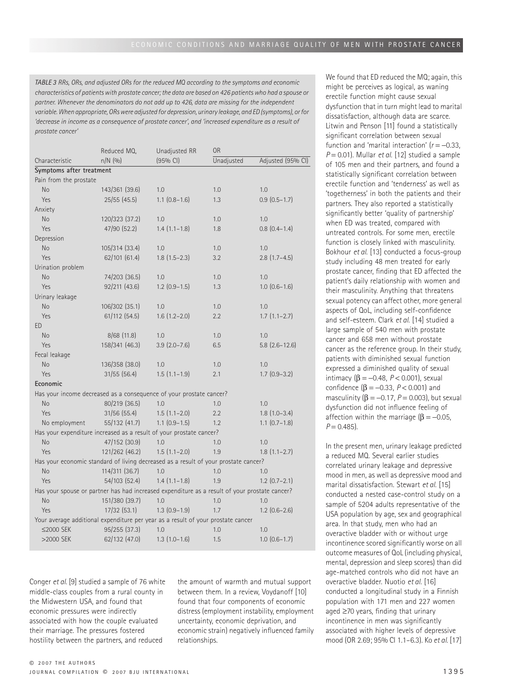*TABLE 3 RRs, ORs, and adjusted ORs for the reduced MQ according to the symptoms and economic characteristics of patients with prostate cancer; the data are based on 426 patients who had a spouse or partner. Whenever the denominators do not add up to 426, data are missing for the independent variable. When appropriate, ORs were adjusted for depression, urinary leakage, and ED (symptoms), or for 'decrease in income as a consequence of prostate cancer', and 'increased expenditure as a result of prostate cancer'*

|                                                                                               | Reduced MQ,    | Unadjusted RR       | <b>OR</b>  |                      |  |
|-----------------------------------------------------------------------------------------------|----------------|---------------------|------------|----------------------|--|
| Characteristic                                                                                | $n/N$ (%)      | (95% C)             | Unadjusted | Adjusted (95% CI)    |  |
| Symptoms after treatment                                                                      |                |                     |            |                      |  |
| Pain from the prostate                                                                        |                |                     |            |                      |  |
| <b>No</b>                                                                                     | 143/361 (39.6) | 1.0                 | 1.0        | 1.0                  |  |
| Yes                                                                                           | 25/55 (45.5)   | $1.1$ $(0.8-1.6)$   | 1.3        | $0.9$ $(0.5 - 1.7)$  |  |
| Anxiety                                                                                       |                |                     |            |                      |  |
| <b>No</b>                                                                                     | 120/323 (37.2) | 1.0                 | 1.0        | 1.0                  |  |
| Yes                                                                                           | 47/90 (52.2)   | $1.4(1.1-1.8)$      | 1.8        | $0.8$ $(0.4 - 1.4)$  |  |
| Depression                                                                                    |                |                     |            |                      |  |
| No                                                                                            | 105/314 (33.4) | 1.0                 | 1.0        | 1.0                  |  |
| Yes                                                                                           | 62/101 (61.4)  | $1.8(1.5-2.3)$      | 3.2        | $2.8(1.7-4.5)$       |  |
| Urination problem                                                                             |                |                     |            |                      |  |
| <b>No</b>                                                                                     | 74/203 (36.5)  | 1.0                 | 1.0        | 1.0                  |  |
| Yes                                                                                           | 92/211 (43.6)  | $1.2$ $(0.9 - 1.5)$ | 1.3        | $1.0$ $(0.6-1.6)$    |  |
| Urinary leakage                                                                               |                |                     |            |                      |  |
| <b>No</b>                                                                                     | 106/302 (35.1) | 1.0                 | 1.0        | 1.0                  |  |
| Yes                                                                                           | 61/112 (54.5)  | $1.6(1.2 - 2.0)$    | 2.2        | $1.7(1.1-2.7)$       |  |
| <b>ED</b>                                                                                     |                |                     |            |                      |  |
| <b>No</b>                                                                                     | 8/68(11.8)     | 1.0                 | 1.0        | 1.0                  |  |
| Yes                                                                                           | 158/341 (46.3) | $3.9(2.0 - 7.6)$    | 6.5        | $5.8$ $(2.6 - 12.6)$ |  |
| Fecal leakage                                                                                 |                |                     |            |                      |  |
| No                                                                                            | 136/358 (38.0) | 1.0                 | 1.0        | 1.0                  |  |
| Yes                                                                                           | 31/55(56.4)    | $1.5(1.1-1.9)$      | 2.1        | $1.7(0.9-3.2)$       |  |
| Economic                                                                                      |                |                     |            |                      |  |
| Has your income decreased as a consequence of your prostate cancer?                           |                |                     |            |                      |  |
| <b>No</b>                                                                                     | 80/219 (36.5)  | 1.0                 | 1.0        | 1.0                  |  |
| Yes                                                                                           | 31/56(55.4)    | $1.5(1.1-2.0)$      | 2.2        | $1.8(1.0-3.4)$       |  |
| No employment                                                                                 | 55/132 (41.7)  | $1.1$ $(0.9 - 1.5)$ | 1.2        | $1.1$ $(0.7 - 1.8)$  |  |
| Has your expenditure increased as a result of your prostate cancer?                           |                |                     |            |                      |  |
| N <sub>o</sub>                                                                                | 47/152 (30.9)  | 1.0                 | 1.0        | 1.0                  |  |
| Yes                                                                                           | 121/262 (46.2) | $1.5(1.1-2.0)$      | 1.9        | $1.8(1.1-2.7)$       |  |
| Has your economic standard of living decreased as a result of your prostate cancer?           |                |                     |            |                      |  |
| <b>No</b>                                                                                     | 114/311 (36.7) | 1.0                 | 1.0        | 1.0                  |  |
| Yes                                                                                           | 54/103 (52.4)  | $1.4(1.1-1.8)$      | 1.9        | $1.2$ $(0.7-2.1)$    |  |
| Has your spouse or partner has had increased expenditure as a result of your prostate cancer? |                |                     |            |                      |  |
| <b>No</b>                                                                                     | 151/380 (39.7) | 1.0                 | 1.0        | 1.0                  |  |
| Yes                                                                                           | 17/32(53.1)    | $1.3(0.9-1.9)$      | 1.7        | $1.2$ $(0.6-2.6)$    |  |
| Your average additional expenditure per year as a result of your prostate cancer              |                |                     |            |                      |  |
| ≤2000 SEK                                                                                     | 95/255 (37.3)  | 1.0                 | 1.0        | 1.0                  |  |
| >2000 SEK                                                                                     | 62/132 (47.0)  | $1.3(1.0-1.6)$      | 1.5        | $1.0$ $(0.6-1.7)$    |  |

Conger *et al.* [9] studied a sample of 76 white middle-class couples from a rural county in the Midwestern USA, and found that economic pressures were indirectly associated with how the couple evaluated their marriage. The pressures fostered hostility between the partners, and reduced

the amount of warmth and mutual support between them. In a review, Voydanoff [10] found that four components of economic distress (employment instability, employment uncertainty, economic deprivation, and economic strain) negatively influenced family relationships.

We found that ED reduced the MQ; again, this might be perceives as logical, as waning erectile function might cause sexual dysfunction that in turn might lead to marital dissatisfaction, although data are scarce. Litwin and Penson [11] found a statistically significant correlation between sexual function and 'marital interaction' (*r* = −0.33, *P* = 0.01). Mullar *et al.* [12] studied a sample of 105 men and their partners, and found a statistically significant correlation between erectile function and 'tenderness' as well as 'togetherness' in both the patients and their partners. They also reported a statistically significantly better 'quality of partnership' when ED was treated, compared with untreated controls. For some men, erectile function is closely linked with masculinity. Bokhour *et al.* [13] conducted a focus-group study including 48 men treated for early prostate cancer, finding that ED affected the patient's daily relationship with women and their masculinity. Anything that threatens sexual potency can affect other, more general aspects of QoL, including self-confidence and self-esteem. Clark *et al.* [14] studied a large sample of 540 men with prostate cancer and 658 men without prostate cancer as the reference group. In their study, patients with diminished sexual function expressed a diminished quality of sexual intimacy ( $β = −0.48, P < 0.001$ ), sexual confidence (β = −0.33, *P* < 0.001) and masculinity  $(\beta = -0.17, P = 0.003)$ , but sexual dysfunction did not influence feeling of affection within the marriage  $(\beta = -0.05,$  $P = 0.485$ .

In the present men, urinary leakage predicted a reduced MQ. Several earlier studies correlated urinary leakage and depressive mood in men, as well as depressive mood and marital dissatisfaction. Stewart *et al.* [15] conducted a nested case-control study on a sample of 5204 adults representative of the USA population by age, sex and geographical area. In that study, men who had an overactive bladder with or without urge incontinence scored significantly worse on all outcome measures of QoL (including physical, mental, depression and sleep scores) than did age-matched controls who did not have an overactive bladder. Nuotio *et al.* [16] conducted a longitudinal study in a Finnish population with 171 men and 227 women aged ≥70 years, finding that urinary incontinence in men was significantly associated with higher levels of depressive mood (OR 2.69; 95% CI 1.1–6.3). Ko *et al.* [17]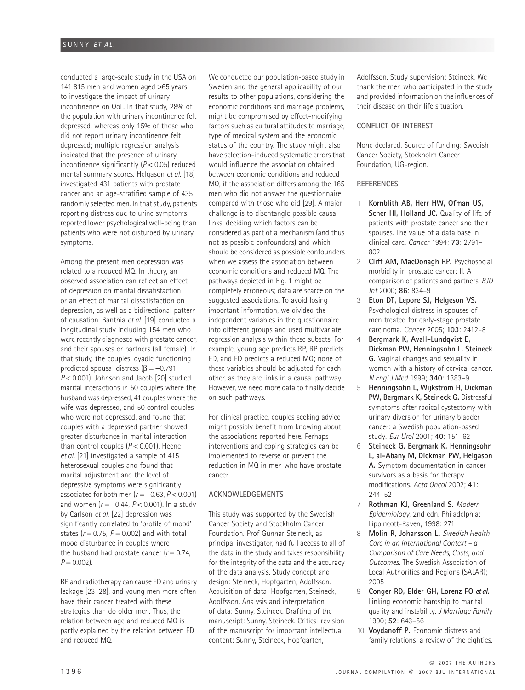conducted a large-scale study in the USA on 141 815 men and women aged >65 years to investigate the impact of urinary incontinence on QoL. In that study, 28% of the population with urinary incontinence felt depressed, whereas only 15% of those who did not report urinary incontinence felt depressed; multiple regression analysis indicated that the presence of urinary incontinence significantly (*P* < 0.05) reduced mental summary scores. Helgason *et al.* [18] investigated 431 patients with prostate cancer and an age-stratified sample of 435 randomly selected men. In that study, patients reporting distress due to urine symptoms reported lower psychological well-being than patients who were not disturbed by urinary symptoms.

Among the present men depression was related to a reduced MQ. In theory, an observed association can reflect an effect of depression on marital dissatisfaction or an effect of marital dissatisfaction on depression, as well as a bidirectional pattern of causation. Banthia *et al.* [19] conducted a longitudinal study including 154 men who were recently diagnosed with prostate cancer, and their spouses or partners (all female). In that study, the couples' dyadic functioning predicted spousal distress  $(\beta = -0.791)$ , *P* < 0.001). Johnson and Jacob [20] studied marital interactions in 50 couples where the husband was depressed, 41 couples where the wife was depressed, and 50 control couples who were not depressed, and found that couples with a depressed partner showed greater disturbance in marital interaction than control couples (*P* < 0.001). Heene *et al.* [21] investigated a sample of 415 heterosexual couples and found that marital adjustment and the level of depressive symptoms were significantly associated for both men  $(r = -0.63, P < 0.001)$ and women (*r* = −0.44, *P* < 0.001). In a study by Carlson *et al.* [22] depression was significantly correlated to 'profile of mood' states  $(r = 0.75, P = 0.002)$  and with total mood disturbance in couples where the husband had prostate cancer  $(r = 0.74)$ ,  $P = 0.002$ 

RP and radiotherapy can cause ED and urinary leakage [23–28], and young men more often have their cancer treated with these strategies than do older men. Thus, the relation between age and reduced MQ is partly explained by the relation between ED and reduced MQ.

We conducted our population-based study in Sweden and the general applicability of our results to other populations, considering the economic conditions and marriage problems, might be compromised by effect-modifying factors such as cultural attitudes to marriage, type of medical system and the economic status of the country. The study might also have selection-induced systematic errors that would influence the association obtained between economic conditions and reduced MQ, if the association differs among the 165 men who did not answer the questionnaire compared with those who did [29]. A major challenge is to disentangle possible causal links, deciding which factors can be considered as part of a mechanism (and thus not as possible confounders) and which should be considered as possible confounders when we assess the association between economic conditions and reduced MQ. The pathways depicted in Fig. 1 might be completely erroneous; data are scarce on the suggested associations. To avoid losing important information, we divided the independent variables in the questionnaire into different groups and used multivariate regression analysis within these subsets. For example, young age predicts RP, RP predicts ED, and ED predicts a reduced MQ; none of these variables should be adjusted for each other, as they are links in a causal pathway. However, we need more data to finally decide on such pathways.

For clinical practice, couples seeking advice might possibly benefit from knowing about the associations reported here. Perhaps interventions and coping strategies can be implemented to reverse or prevent the reduction in MQ in men who have prostate cancer.

# **ACKNOWLEDGEMENTS**

This study was supported by the Swedish Cancer Society and Stockholm Cancer Foundation. Prof Gunnar Steineck, as principal investigator, had full access to all of the data in the study and takes responsibility for the integrity of the data and the accuracy of the data analysis. Study concept and design: Steineck, Hopfgarten, Adolfsson. Acquisition of data: Hopfgarten, Steineck, Adolfsson. Analysis and interpretation of data: Sunny, Steineck. Drafting of the manuscript: Sunny, Steineck. Critical revision of the manuscript for important intellectual content: Sunny, Steineck, Hopfgarten,

Adolfsson. Study supervision: Steineck. We thank the men who participated in the study and provided information on the influences of their disease on their life situation.

#### **CONFLICT OF INTEREST**

None declared. Source of funding: Swedish Cancer Society, Stockholm Cancer Foundation, UG-region.

#### **REFERENCES**

- 1 **Kornblith AB, Herr HW, Ofman US,**  Scher HI, Holland JC. Quality of life of patients with prostate cancer and their spouses. The value of a data base in clinical care. *Cancer* 1994; **73**: 2791–  $802$
- 2 **Cliff AM, MacDonagh RP.** Psychosocial morbidity in prostate cancer: II. A comparison of patients and partners. *BJU Int* 2000; **86**: 834–9
- 3 **Eton DT, Lepore SJ, Helgeson VS.**  Psychological distress in spouses of men treated for early-stage prostate carcinoma. *Cancer* 2005; **103**: 2412–8
- 4 **Bergmark K, Avall-Lundqvist E, Dickman PW, Henningsohn L, Steineck G.** Vaginal changes and sexuality in women with a history of cervical cancer. *N Engl J Med* 1999; **340**: 1383–9
- 5 **Henningsohn L, Wijkstrom H, Dickman PW, Bergmark K, Steineck G. Distressful** symptoms after radical cystectomy with urinary diversion for urinary bladder cancer: a Swedish population-based study. *Eur Urol* 2001; **40**: 151–62
- 6 **Steineck G, Bergmark K, Henningsohn L, al-Abany M, Dickman PW, Helgason A.** Symptom documentation in cancer survivors as a basis for therapy modifications. *Acta Oncol* 2002; **41**: 244–52
- 7 **Rothman KJ, Greenland S.** *Modern Epidemiology*, 2nd edn. Philadelphia: Lippincott-Raven, 1998: 271
- 8 **Molin R, Johansson L.** *Swedish Health Care in an International Context – a Comparison of Care Needs, Costs, and Outcomes*. The Swedish Association of Local Authorities and Regions (SALAR); 2005
- 9 **Conger RD, Elder GH, Lorenz FO** et al. Linking economic hardship to marital quality and instability. *J Marriage Family* 1990; **52**: 643–56
- 10 **Voydanoff P.** Economic distress and family relations: a review of the eighties.